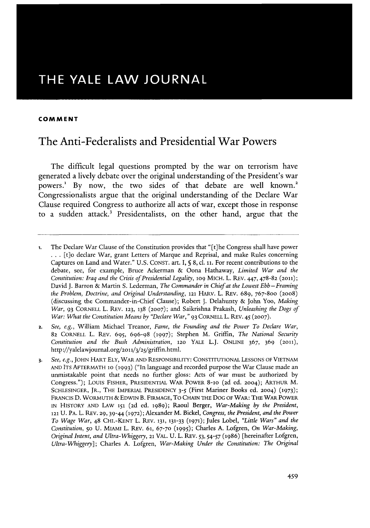# THE YALE LAW **JOURNAL**

### **COMMENT**

## The Anti-Federalists and Presidential War Powers

The difficult legal questions prompted **by** the war on terrorism have generated a lively debate over the original understanding of the President's war powers.! **By** now, the two sides of that debate are well known.' Congressionalists argue that the original understanding of the Declare War Clause required Congress to authorize all acts of war, except those in response to a sudden attack.' Presidentalists, on the other hand, argue that the

**<sup>1.</sup>** The Declare *War* Clause of the Constitution provides that "[t]he Congress shall have power **...** [t]o declare War, grant Letters of Marque and Reprisal, and make Rules concerning Captures on Land and Water." **U.S. CONST.** art. I, **§ 8,** cl. **ii.** For recent contributions to the debate, see, for example, Bruce Ackerman **&** Oona Hathaway, *Limited War and the Constitution: Iraq and the Crisis of Presidential Legality, 109* MICH. L. REV. 447, 478-82 **(2011);** David **J.** Barron **&** Martin **S.** Lederman, *The Commander in Chief at the Lowest Ebb-Framing the Problem, Doctrine, and Original Understanding,* 121 HARV. L. REv. **689,** 767-800 (2008) (discussing the Commander-in-Chief Clause); Robert **J.** Delahunty **&** John Yoo, *Making War,* **93** CORNELL L. REv. **123, 138 (2007);** and Saikrishna Prakash, *Unleashing the Dogs of War: What the Constitution Means by "Declare War,"* **93** CORNELL L. **REV.** *45* **(2007).**

**<sup>2.</sup>** *See, e.g.,* William Michael Treanor, *Fame, the Founding and the Power To Declare War,* 82 CORNELL L. REv. **695, 696-98 (1997);** Stephen M. Griffin, *The National Security Constitution and the Bush Administration,* **120** YALE **L.J. ONLINE 367, 369 (2011),** http://yalelawjournal.org/2011/3/25/griffin.html.

**<sup>3.</sup>** *See, e.g.,* **JOHN** HART **ELY,** WAR **AND** RESPONSIBILITY: **CONSTITUTIONAL LESSONS** OF VIETNAM **AND** ITS AFTERMATH **10 (1993)** ("In language and recorded purpose the War Clause made an unmistakable point that needs no further gloss: Acts of war must be authorized **by** Congress."); Louis FISHER, **PRESIDENTIAL** WAR POWER 8-10 **(2d** ed. **2004);** ARTHUR M. **SCHLESINGER,** JR., THE IMPERIAL **PRESIDENCY** *3-5* (First Mariner Books ed. **2004) (1973);** FRANCIS **D.** WORMUTH **& EDWIN** B. FIRMAGE, To **CHAIN** THE **DOG** OF WAR: **THE WAR POWER IN** HISTORY **AND** LAW **151 (2d** ed. 1989); Raoul Berger, *War-Making by the President,* **121 U.** PA. L. REv. **29, 39-44 (1972);** Alexander M. Bickel, *Congress, the President, and the Power To Wage War,* 48 CHI.-KENT L. REv. **131, 131-33 (1971);** Jules Lobel, *"Little Wars" and the Constitution,* **50 U.** MIAMI L. REv. **61, 67-70** (1995); Charles **A. Lofgren,** *On War-Making, Original Intent, and Ultra-Whiggery,* 21 VAL. **U.** L. REV. **53,** *54-57* **(1986)** [hereinafter Lofgren, *Ultra-Whiggery];* Charles **A. Lofgren,** *War-Making Under the Constitution: The Original*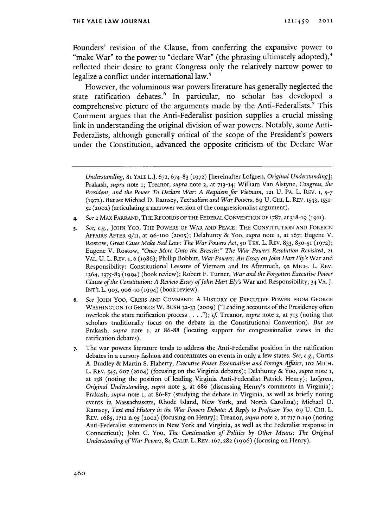Founders' revision of the Clause, from conferring the expansive power to "make War" to the power to "declare War" (the phrasing ultimately adopted), $4$ reflected their desire to grant Congress only the relatively narrow power to legalize a conflict under international law.<sup>5</sup>

However, the voluminous war powers literature has generally neglected the state ratification debates.<sup>6</sup> In particular, no scholar has developed a comprehensive picture of the arguments made **by** the Anti-Federalists.' This Comment argues that the Anti-Federalist position supplies a crucial missing link in understanding the original division of war powers. Notably, some Anti-Federalists, although generally critical of the scope of the President's powers under the Constitution, advanced the opposite criticism of the Declare War

- **4.** *See* **2** *MAX* **FARRAND, THE RECORDS OF THE FEDERAL CONVENTION OF 1787, at 318-19 (1911).**
- **5.** *See, e.g.,* **JOHN Yoo, THE POWERS OF WAR AND PEACE:** THE **CONSTITUTION AND** FOREIGN **AFFAIRS AFTER 9/11,** at **96-1oo (2005);** Delahunty **&** Yoo, *supra* note **1,** at **167;** Eugene V. Rostow, *Great Cases Make Bad Law: The War Powers Act,* 5o **TEX.** L. REV. **833,** 85o-51 **(1972);** Eugene V. Rostow, *"Once More Unto the Breach:" The War Powers Resolution Revisited, <sup>21</sup>* VAL. **U.** L. REV. **1, 6 (1986);** Phillip Bobbitt, *War Powers: An Essay onjohn Hart Ely's War* and Responsibility: Constitutional Lessons of Vietnam and Its Aftermath, **92 MICH.** L. **REV. 1364, 1375-83 (1994)** (book review); Robert F. Turner, *War and the Forgotten Executive Power Clause of the Constitution: A Review Essay ofJohn Hart Ely's* War and Responsibility, 34 VA. **J. INT'L L. 903, 906-10 (1994)** (book review).
- **6.** *See* **JOHN YOO, CRISIS AND COMMAND: A HISTORY OF EXECUTIVE POWER FROM GEORGE WASHINGTON** TO **GEORGE** W. **BUSH 32-33 (2009)** ("Leading accounts of the Presidency often overlook the state ratification process **. . .** *."); cf* Treanor, *supra* note **2,** at **713** (noting that scholars traditionally focus on the debate in the Constitutional Convention). *But see* Prakash, *supra* note **I,** at **86-88** (locating support for congressionalist views in the ratification debates).
- **7.** The war powers literature tends to address the Anti-Federalist position in the ratification debates in a cursory fashion and concentrates on events in only a few states. *See, e.g.,* Curtis **A.** Bradley *&* Martin **S.** Flaherty, *Executive Power Essentialism and Foreign Affairs,* **102 MICH.** L. REV. *545,* **607 (2004)** (focusing on the Virginia debates); Delahunty *&* Yoo, *supra* note **1,** at **138** (noting the position of leading Virginia Anti-Federalist Patrick Henry); Lofgren, *Original Understanding, supra* note **3,** at **686** (discussing Henry's comments in Virginia); Prakash, *supra* note **1,** at **86-87** (studying the debate in Virginia, as well as briefly noting events in Massachusetts, Rhode Island, New York, and North Carolina); Michael **D.** Ramsey, *Text and History in the War Powers Debate: A Reply to Professor Yoo,* **69 U. CHI.** L. REV. **1685, 1712** n.95 **(2002)** (focusing on Henry); Treanor, *supra* note **2,** at **717** n.14o (noting Anti-Federalist statements in New York and Virginia, as well as the Federalist response in Connecticut); John **C.** Yoo, *The Continuation of Politics by Other Means: The Original Understanding of War Powers,* 84 **CALIF.** L. REV. **167,282** (1996) (focusing on Henry).

*Understanding,* **81** YALE L.J. **672, 674-83 (1972)** [hereinafter Lofgren, *Original Understanding];* Prakash, *supra* note **1;** Treanor, *supra* note **2,** at **713-14;** William *Van* Alstyne, *Congress, the President, and the Power To Declare War: A Requiem for Vietnam,* **121 U.** PA. L. REV. **1,** *5-7* **(1972).** *But see* Michael **D.** Ramsey, *Textualism and War Powers, 69* **U. CHI.** L. **REV. 1543, 1551- 52 (2002)** (articulating a narrower version of the congressionalist argument).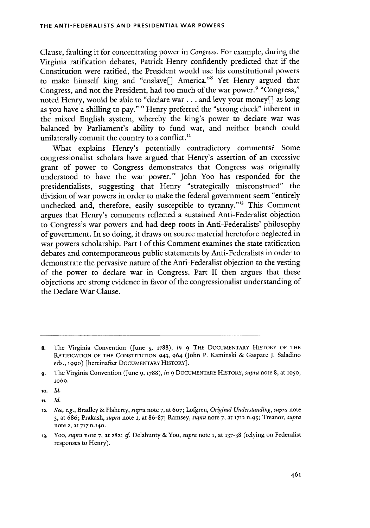Clause, faulting it for concentrating power in *Congress.* For example, during the Virginia ratification debates, Patrick Henry confidently predicted that if the Constitution were ratified, the President would use his constitutional powers to make himself king and "enslave[] America."8 Yet Henry argued that Congress, and not the President, had too much of the war power.' "Congress," noted Henry, would be able to "declare war **...** and levy your money[] as long as you have a shilling to pay.""o Henry preferred the "strong check" inherent in the mixed English system, whereby the king's power to declare war was balanced **by** Parliament's ability to fund war, and neither branch could unilaterally commit the country to a conflict.<sup>11</sup>

What explains Henry's potentially contradictory comments? Some congressionalist scholars have argued that Henry's assertion of an excessive grant of power to Congress demonstrates that Congress was originally understood to have the war power." John Yoo has responded for the presidentialists, suggesting that Henry "strategically misconstrued" the division of war powers in order to make the federal government seem "entirely unchecked and, therefore, easily susceptible to tyranny."<sup>13</sup> This Comment argues that Henry's comments reflected a sustained Anti-Federalist objection to Congress's war powers and had deep roots in Anti-Federalists' philosophy of government. In so doing, it draws on source material heretofore neglected in war powers scholarship. Part **I** of this Comment examines the state ratification debates and contemporaneous public statements **by** Anti-Federalists in order to demonstrate the pervasive nature of the Anti-Federalist objection to the vesting of the power to declare war in Congress. Part II then argues that these objections are strong evidence in favor of the congressionalist understanding of the Declare War Clause.

**11.** *Id.*

**<sup>8.</sup>** The Virginia Convention (June **5, 1788),** *in* **9** THE **DOCUMENTARY** HISTORY OF THE RATIFICATION OF THE **CONSTITUTION** 943, 964 (John P. Kaminski **&** Gaspare **J.** Saladino eds., **1990)** [hereinafter **DOCUMENTARY** HISTORY].

**<sup>9.</sup>** The Virginia Convention (June **9, 1788),** *in* **9 DOCUMENTARY** HISTORY, *supra* note **8,** at lo5o, 1o69.

**io.** *Id.*

**<sup>12.</sup>** *See, e.g.,* Bradley **&** Flaherty, *supra* note **7,** at **607; Lofgren,** *Original Understanding, supra* note **3, at 686; Prakash,** *supra* **note 1, at 86-87; Ramsey,** *supra* **note** *7,* **at 1712** *n.95;* **Treanor,** *supra* **note 2, at 717 n.140.**

**<sup>13.</sup>** *Yoo, supra* **note 7,** at **282;** *cf* Delahunty **& Yoo,** *supra* **note i, at 137-38** (relying on Federalist responses to Henry).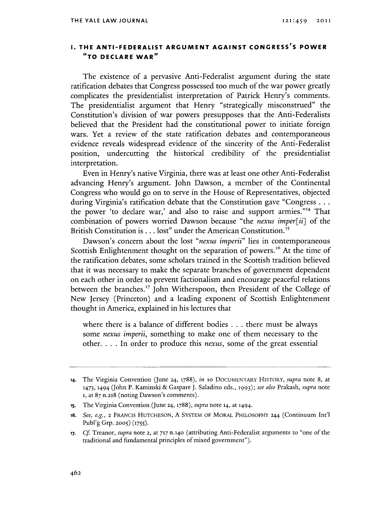### **1. THE ANTI-FEDERALIST ARGUMENT AGAINST CONGRESS'S POWER "TO DECLARE WAR**

The existence of a pervasive Anti-Federalist argument during the state ratification debates that Congress possessed too much of the war power greatly complicates the presidentialist interpretation of Patrick Henry's comments. The presidentialist argument that Henry "strategically misconstrued" the Constitution's division of war powers presupposes that the Anti-Federalists believed that the President had the constitutional power to initiate foreign wars. Yet a review of the state ratification debates and contemporaneous evidence reveals widespread evidence of the sincerity of the Anti-Federalist position, undercutting the historical credibility of the presidentialist interpretation.

Even in Henry's native Virginia, there was at least one other Anti-Federalist advancing Henry's argument. John Dawson, a member of the Continental Congress who would go on to serve in the House of Representatives, objected during Virginia's ratification debate that the Constitution gave "Congress **...** the power 'to declare war,' and also to raise and support armies."<sup>14</sup> That combination of powers worried Dawson because "the *nexus imper[ii]* of the British Constitution is **.** . **.** lost" under the American Constitution."

Dawson's concern about the lost *"nexus imperii"* lies in contemporaneous Scottish Enlightenment thought on the separation of powers.<sup>16</sup> At the time of the ratification debates, some scholars trained in the Scottish tradition believed that it was necessary to make the separate branches of government dependent on each other in order to prevent factionalism and encourage peaceful relations between the branches.<sup>17</sup> John Witherspoon, then President of the College of New Jersey (Princeton) and a leading exponent of Scottish Enlightenment thought in America, explained in his lectures that

where there is a balance of different bodies **.** . **.** there must be always some *nexus imperiu,* something to make one of them necessary to the **other....** In order to produce this *nexus,* some of the great essential

**<sup>14.</sup>** The Virginia Convention (June *24,* **1788),** *in* to **DOCUMENTARY** HISTORY, *supra* note **8,** at **1473, 1494** (John P. Kaminski **&** Gaspare **J.** Saladino eds., **1993);** *see also Prakash, supra* note **1,** at **87** n.218 (noting Dawson's comments).

**<sup>15.</sup>** The Virginia Convention (June 24, **1788),** *supra* note **14,** at **1494.**

**<sup>16.</sup>** *See, e.g.,* **2** FRANCIS **HUTCHESON, A** SYSTEM OF MORAL PHILOSOPHY 244 (Continuum Int'l Publ'g Grp. **2005) (1755).**

**<sup>17.</sup> Cf** *Treanor, supra* note **2,** at **717** n.14o (attributing Anti-Federalist arguments to "one of the traditional and fundamental principles of mixed government").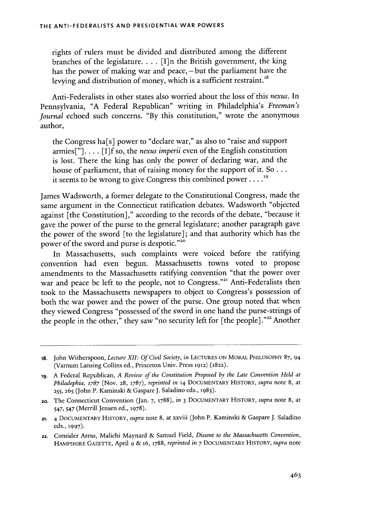rights of rulers must be divided and distributed among the different branches of the legislature. . . **.** [I]n the British government, the king has the power of making war and peace, – but the parliament have the levying and distribution of money, which is a sufficient restraint.<sup>18</sup>

Anti-Federalists in other states also worried about the loss of this *nexus. In* Pennsylvania, **"A** Federal Republican" writing in Philadelphia's *Freeman's journal* echoed such concerns. **"By** this constitution," wrote the anonymous author,

the Congress ha[s] power to "declare war," as also to "raise and support armies["]. . . **. [If** so, the *nexus imperii* even of the English constitution is lost. There the king has only the power of declaring war, and the house of parliament, that of raising money for the support of it. So **...** it seems to be wrong to give Congress this combined power **..... <sup>9</sup>**

James Wadsworth, a former delegate to the Constitutional Congress, made the same argument in the Connecticut ratification debates. Wadsworth "objected against [the Constitution]," according to the records of the debate, "because it gave the power of the purse to the general legislature; another paragraph gave the power of the sword [to the legislature]; and that authority which has the power of the sword and purse is despotic."20

In Massachusetts, such complaints were voiced before the ratifying convention had even begun. Massachusetts towns voted to propose amendments to the Massachusetts ratifying convention "that the power over war and peace be left to the people, not to Congress."<sup>21</sup> Anti-Federalists then took to the Massachusetts newspapers to object to Congress's possession of both the war power and the power of the purse. One group noted that when they viewed Congress "possessed of the sword in one hand the purse-strings of the people in the other," they saw "no security left for [the people]."<sup>22</sup> Another

**<sup>18.</sup>** John Witherspoon, *Lecture XII: Of Civil Society, in* **LECTURES ON** MORAL PHILOSOPHY **87,** 94 (Varnum Lansing Collins ed., Princeton Univ. Press **1912) (1822).**

**<sup>19.</sup> A** Federal Republican, *A Review of the Constitution Proposed by the Late Convention Held at Philadephia,* **1787 (Nov. 28, 1787),** *reprinted in* **14 DOCUMENTARY HISTORY,** *supra* note **8,** at **255, 265** (John P. Kaminski **&** Gaspare **J.** Saladino eds., **1983).**

**<sup>20.</sup>** The Connecticut Convention (Jan. *7,* **1788),** *in* **3 DOCUMENTARY** HISTORY, *supra* note **8,** at 547, *547* (Merrill Jensen ed., **1978).**

**<sup>21.</sup>** 4 **DOCUMENTARY** HISTORY, *supra* note **8,** at xxviii (John P. Kaminski **&** Gaspare **J.** Saladino eds., **1997).**

**<sup>22.</sup>** Consider Arms, Malichi Maynard **&** Samuel Field, *Dissent to the Massachusetts Convention,* HAMPSHIRE **GAZETTE,** April **9 & 16, 1788,** *reprinted in 7* **DOCUMENTARY HISTORY,** *supra* note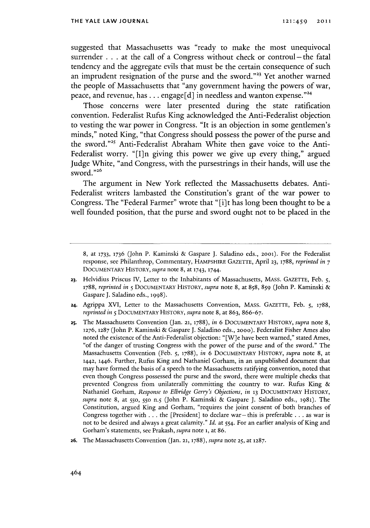suggested that Massachusetts was "ready to make the most unequivocal surrender **. . .** at the call of a Congress without check or controul-the fatal tendency and the aggregate evils that must be the certain consequence of such an imprudent resignation of the purse and the sword."<sup>23</sup> Yet another warned the people of Massachusetts that "any government having the powers of war, peace, and revenue, has **...** engage **[d]** in needless and wanton expense."

Those concerns were later presented during the state ratification convention. Federalist Rufus King acknowledged the Anti-Federalist objection to vesting the war power in Congress. "It is an objection in some gentlemen's minds," noted King, "that Congress should possess the power of the purse and the sword."<sup>25</sup> Anti-Federalist Abraham White then gave voice to the Anti-Federalist worry. "[I]n giving this power we give up every thing," argued Judge White, "and Congress, with the pursestrings in their hands, will use the sword."26

The argument in New York reflected the Massachusetts debates. Anti-Federalist writers lambasted the Constitution's grant of the war power to Congress. The "Federal Farmer" wrote that "[i]t has long been thought to be a well founded position, that the purse and sword ought not to be placed in the

- **23.** Helvidius Priscus IV, Letter to the Inhabitants of Massachusetts, MAsS. GAZETTE, Feb. **5,** *1788, reprinted in* **5 DOCUMENTARY** HISTORY, *supra* note **8,** at **858, 859** (John P. Kaminski **&** Gaspare **J.** Saladino eds., **1998).**
- **24.** Agrippa XVI, Letter to the Massachusetts Convention, MAsS. **GAZETTE,** Feb. **5, 1788,** *reprinted in* **5 DOCUMENTARY** HISTORY, *supra* note **8,** at **863, 866-67.**
- **25.** The Massachusetts Convention (Jan. **21, 1788),** *in 6* **DOCUMENTARY** HISTORY, *supra* note **8, 1276,** 1287 (John P. Kaminski **&** Gaspare **J.** Saladino eds., **2000).** Federalist Fisher Ames also noted the existence of the Anti-Federalist objection: "[W]e have been warned," stated Ames, "of the danger of trusting Congress with the power of the purse and of the sword." The Massachusetts Convention (Feb. **5, 1788),** *in* **6 DOCUMENTARY** HISTORY, *supra* note **8,** at 1442, 1446. Further, Rufus King and Nathaniel Gorham, in an unpublished document that may have formed the basis of a speech to the Massachusetts ratifying convention, noted that even though Congress possessed the purse and the sword, there were multiple checks that prevented Congress from unilaterally committing the country to war. Rufus King **&** Nathaniel Gorham, *Response to Elbridge Gerry's Objections, in* **13 DOCUMENTARY** HISTORY, *supra* note **8,** at **550, 550** n.5 (John P. Kaminski **&** Gaspare **J.** Saladino eds., 1981). The Constitution, argued King and Gorham, "requires the joint consent of both branches of Congress together with **.** . **.** the [President] to declare war- this is preferable **.** . **.** as war is not to be desired and always a great calamity." *Id.* at 554. For an earlier analysis of King and Gorham's statements, see Prakash, *supra* note **i,** at **86.**
- **26.** The Massachusetts Convention (Jan. 21, **1788),** *supra* note **25,** at **1287.**

**<sup>8,</sup>** at **1733, 1736** (John P. Kaminski **&** Gaspare **J.** Saladino eds., **2001).** For the Federalist response, see Philanthrop, Commentary, HAMPSHIRE **GAZETTE,** April **23, 1788,** *reprinted in* **7** DOCUMENTARY HISTORY, *supra* note **8,** at 1743, **1744.**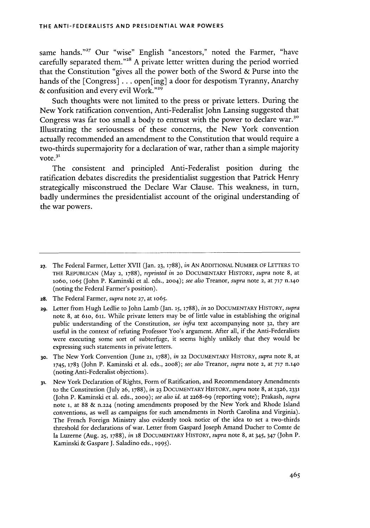same hands."<sup>27</sup> Our "wise" English "ancestors," noted the Farmer, "have carefully separated them."<sup>28</sup> A private letter written during the period worried that the Constitution "gives all the power both of the Sword **&** Purse into the hands of the [Congress] **.. .** open[ing] a door for despotism Tyranny, Anarchy **&** confusition and every evil Work.""

Such thoughts were not limited to the press or private letters. During the New York ratification convention, Anti-Federalist John Lansing suggested that Congress was far too small a body to entrust with the power to declare war.<sup>30</sup> Illustrating the seriousness of these concerns, the New York convention actually recommended an amendment to the Constitution that would require a two-thirds supermajority for a declaration of war, rather than a simple majority vote.<sup>31</sup>

The consistent and principled Anti-Federalist position during the ratification debates discredits the presidentialist suggestion that Patrick Henry strategically misconstrued the Declare War Clause. This weakness, in turn, badly undermines the presidentialist account of the original understanding of the war powers.

- **28.** The Federal Farmer, *supra* note **27,** at **1o65.**
- **29.** Letter from Hugh Ledlie to John Lamb (Jan. **15, 1788),** in **20 DOCUMENTARY HISTORY,** *supra* note **8,** at **61o,** 611. While private letters may be of little value in establishing the original public understanding of the Constitution, *see infra* text accompanying note **32,** they are useful in the context of refuting Professor Yoo's argument. After all, if the Anti-Federalists were executing some sort of subterfuge, it seems **highly** unlikely that they would be expressing such statements in private letters.
- **30.** The New York Convention (June **21, 1788),** in **22 DOCUMENTARY** HISTORY, *supra* note **8,** at **1745, 1783** (John P. Kaminski et al. eds., **2008);** *see also Treanor, supra* note 2, at **717 n.140** (noting Anti-Federalist objections).
- **31.** New York Declaration of Rights, Form of Ratification, and Recommendatory Amendments to the Constitution **(July 26, 1788),** in **23 DOCUMENTARY** HISTORY, *supra* note **8,** at **2326, 2331** (John P. Kaminski et al. eds., **2009);** *see also id.* at **2268-69** (reporting vote); Prakash, *supra* note **1,** at **88 & n.224** (noting amendments proposed **by** the New York and Rhode Island conventions, as well as campaigns for such amendments in North Carolina and Virginia). The French Foreign Ministry also evidently took notice of the idea to set a two-thirds threshold for declarations of war. Letter from Gaspard Joseph Amand Ducher to Comte de la Luzerne (Aug. **25, 1788),** *in* 18 **DOCUMENTARY** HISTORY, *supra* note **8,** at *345,* 347 (John P. Kaminski **&** Gaspare **J.** Saladino eds., **1995).**

**<sup>27.</sup>** The Federal Farmer, Letter XVII (Jan. **23, 1788),** in **AN** ADDITIONAL NUMBER OF LETTERS TO **THE REPUBLICAN** (May **2, 1788),** *reprinted* in **20 DOCUMENTARY HISTORY,** *supra* note **8,** at 1o6o, **1o65** (John P. Kaminski et al. eds., **2004);** *see also Treanor, supra* note 2, at **717 n.140** (noting the Federal Farmer's position).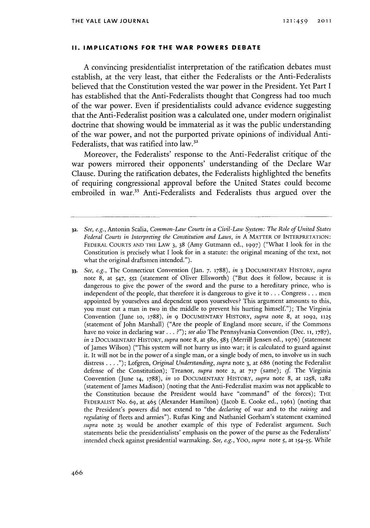#### **II. IMPLICATIONS FOR THE WAR POWERS DEBATE**

**A** convincing presidentialist interpretation of the ratification debates must establish, at the very least, that either the Federalists or the Anti-Federalists believed that the Constitution vested the war power in the President. Yet Part **I** has established that the Anti-Federalists thought that Congress had too much of the war power. Even if presidentialists could advance evidence suggesting that the Anti-Federalist position was a calculated one, under modern originalist doctrine that showing would be immaterial as it was the public understanding of the war power, and not the purported private opinions of individual Anti-Federalists, that was ratified into law.<sup>32</sup>

Moreover, the Federalists' response to the Anti-Federalist critique of the war powers mirrored their opponents' understanding of the Declare War Clause. During the ratification debates, the Federalists highlighted the benefits of requiring congressional approval before the United States could become embroiled in war.<sup>33</sup> Anti-Federalists and Federalists thus argued over the

**<sup>32.</sup>** *See, e.g.,* Antonin Scalia, *Common-Law Courts in a Civil-Law System: The Role of United States Federal Courts in Interpreting the Constitution and Laws, in* **A** MATTER OF **INTERPRETATION:** FEDERAL **COURTS AND** THE **LAW 3, 38** (Amy Gutmann ed., **1997)** *("What* I look for in the Constitution is precisely what **I** look for in a statute: the original meaning of the text, not what the original draftsmen intended.").

**<sup>33.</sup>** *See, e.g.,* The Connecticut Convention (Jan. *7.* **1788),** *in* **3 DOCUMENTARY** HISTORY, *supra* note **8,** at 547, **552** (statement of Oliver Ellsworth) ("But does it follow, because it is dangerous to give the power of the sword and the purse to a hereditary prince, who is independent of the people, that therefore it is dangerous to give it to **.** . **.** Congress **.** . **.** men appointed **by** yourselves and dependent upon yourselves? This argument amounts to this, you must cut a man in two in the middle to prevent his hurting himself."); The Virginia Convention (June lo, **1788),** *in* **9** DOCUMENTARY HISTORY, *supra* note **8,** at **1092, 1125** (statement of John Marshall) ("Are the people of England more secure, if the Commons have no voice in declaring war **. ..** *?"); see also* The Pennsylvania Convention (Dec. **11, 1787),** *in* 2 **DOCUMENTARY** HISTORY, *supra* note **8,** at 580, **583** (Merrill Jensen ed., **1976)** (statement of James Wilson) ("This system will not hurry us into war; it is calculated to guard against it. It will not be in the power of a single man, or a single body of men, to involve us in such distress **. . . .");** Lofgren, *Original Understanding, supra* note **3,** at **686** (noting the Federalist defense of the Constitution); Treanor, *supra* note **2,** at **717** (same); *cf* The Virginia Convention (June **14, 1788),** *in* lo **DOCUMENTARY** HISTORY, *supra* note **8,** at *1258,* **1282** (statement of James Madison) (noting that the Anti-Federalist maxim was not applicable to the Constitution because the President would have "command" of the forces); THE FEDERALIST No. **69,** at 465 (Alexander Hamilton) (Jacob **E.** Cooke ed., 1961) (noting that the President's powers did not extend to "the *declaring* of war and to the *raising and regulating* of fleets and armies"). Rufus King and Nathaniel Gorham's statement examined *supra* note **25** would be another example of this type of Federalist argument. Such statements belie the presidentialists' emphasis on the power of the purse as the Federalists' intended check against presidential warmaking. *See, e.g., Yoo, supra note* **5,** at 154-55. While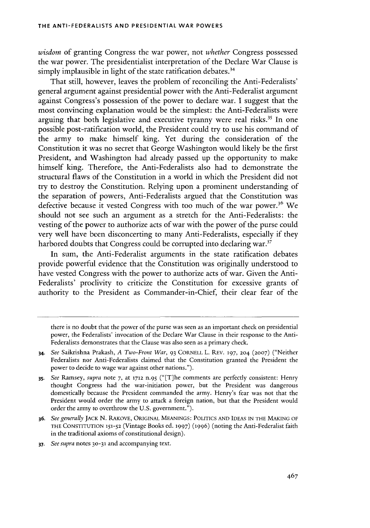*wisdom* of granting Congress the war power, not *whether* Congress possessed the war power. The presidentialist interpretation of the Declare War Clause **is** simply implausible in light of the state ratification debates.<sup>34</sup>

That still, however, leaves the problem of reconciling the Anti-Federalists' general argument against presidential power with the Anti-Federalist **argument** against Congress's possession of the power to declare war. **I** suggest that the most convincing explanation would be the simplest: the Anti-Federalists were arguing that both legislative and executive tyranny were real risks.<sup>35</sup> In one possible post-ratification world, the President could try to use his command of the army to make himself king. Yet during the consideration of the Constitution it was no secret that George Washington would likely be the first President, and Washington had already passed up the opportunity to make himself king. Therefore, the Anti-Federalists also had to demonstrate the structural flaws of the Constitution in a world in which the President **did** not try to destroy the Constitution. Relying upon a prominent understanding of the separation of powers, Anti-Federalists argued that the Constitution was defective because it vested Congress with too much of the war power.<sup>36</sup> We should not see such an argument as a stretch for the Anti-Federalists: the vesting of the power to authorize acts of war with the power of the purse could very well have been disconcerting to many Anti-Federalists, especially if they harbored doubts that Congress could be corrupted into declaring war.<sup>37</sup>

In sum, the Anti-Federalist arguments in the state ratification debates provide powerful evidence that the Constitution was originally understood to have vested Congress with the power to authorize acts of war. Given the Anti-Federalists' proclivity to criticize the Constitution for excessive grants of authority to the President as Commander-in-Chief, their clear fear of the

*37. See supra* notes **30-31** and accompanying text.

there is no doubt that the power of the purse was seen as an important check on presidential power, the Federalists' invocation of the Declare War Clause in their response to the Anti-Federalists demonstrates that the Clause was also seen as a primary check.

<sup>34.</sup> *See* Saikrishna Prakash, *A Two-Front War,* **93** CORNELL L. REV. **197, 204 (2007)** ("Neither Federalists nor Anti-Federalists claimed that the Constitution granted the President the power to decide to wage war against other nations.").

*<sup>35.</sup> See Ramsey, supra* note **7,** at **1712** n.95 ("[T]he comments are perfectly consistent: Henry thought Congress had the war-initiation power, but the President was dangerous domestically because the President commanded the army. Henry's fear was not that the President would order the army to attack a foreign nation, but that the President would order the army to overthrow the **U.S.** government.").

**<sup>36.</sup>** *See generally JACK* **N.** RAKOVE, ORIGINAL **MEANINGS: POLITICS AND IDEAS IN** THE **MAKING** OF **THE CONSTITUTION 151-52** (Vintage Books **ed. 1997) (1996)** (noting the Anti-Federalist faith in the traditional axioms of constitutional design).